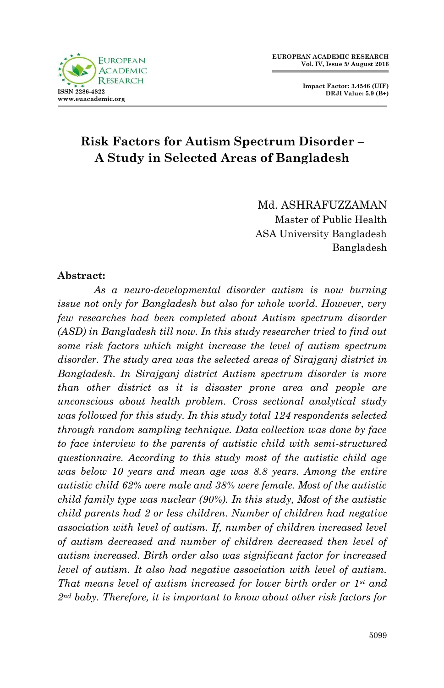

# **Risk Factors for Autism Spectrum Disorder – A Study in Selected Areas of Bangladesh**

Md. ASHRAFUZZAMAN Master of Public Health ASA University Bangladesh Bangladesh

#### **Abstract:**

*As a neuro-developmental disorder autism is now burning issue not only for Bangladesh but also for whole world. However, very few researches had been completed about Autism spectrum disorder (ASD) in Bangladesh till now. In this study researcher tried to find out some risk factors which might increase the level of autism spectrum disorder. The study area was the selected areas of Sirajganj district in Bangladesh. In Sirajganj district Autism spectrum disorder is more than other district as it is disaster prone area and people are unconscious about health problem. Cross sectional analytical study was followed for this study. In this study total 124 respondents selected through random sampling technique. Data collection was done by face to face interview to the parents of autistic child with semi-structured questionnaire. According to this study most of the autistic child age was below 10 years and mean age was 8.8 years. Among the entire autistic child 62% were male and 38% were female. Most of the autistic child family type was nuclear (90%). In this study, Most of the autistic child parents had 2 or less children. Number of children had negative association with level of autism. If, number of children increased level of autism decreased and number of children decreased then level of autism increased. Birth order also was significant factor for increased level of autism. It also had negative association with level of autism. That means level of autism increased for lower birth order or 1st and 2nd baby. Therefore, it is important to know about other risk factors for*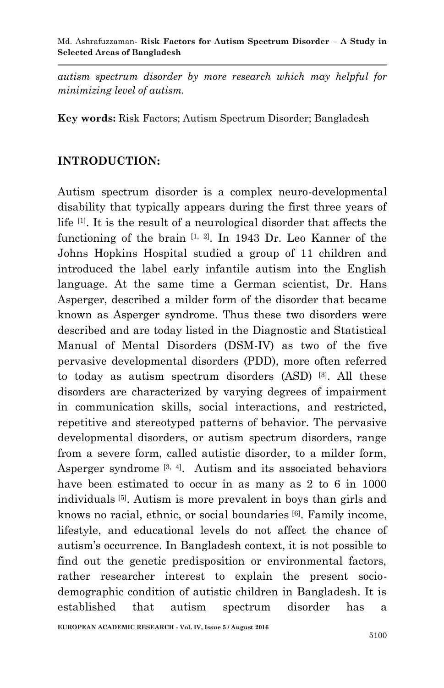*autism spectrum disorder by more research which may helpful for minimizing level of autism.*

**Key words:** Risk Factors; Autism Spectrum Disorder; Bangladesh

### **INTRODUCTION:**

Autism spectrum disorder is a complex neuro-developmental disability that typically appears during the first three years of life [1]. It is the result of a neurological disorder that affects the functioning of the brain  $[1, 2]$ . In 1943 Dr. Leo Kanner of the Johns Hopkins Hospital studied a group of 11 children and introduced the label early infantile autism into the English language. At the same time a German scientist, Dr. Hans Asperger, described a milder form of the disorder that became known as Asperger syndrome. Thus these two disorders were described and are today listed in the Diagnostic and Statistical Manual of Mental Disorders (DSM-IV) as two of the five pervasive developmental disorders (PDD), more often referred to today as autism spectrum disorders (ASD) [3]. All these disorders are characterized by varying degrees of impairment in communication skills, social interactions, and restricted, repetitive and stereotyped patterns of behavior. The pervasive developmental disorders, or autism spectrum disorders, range from a severe form, called autistic disorder, to a milder form, Asperger syndrome  $[3, 4]$ . Autism and its associated behaviors have been estimated to occur in as many as 2 to 6 in 1000 individuals [5]. Autism is more prevalent in boys than girls and knows no racial, ethnic, or social boundaries [6]. Family income, lifestyle, and educational levels do not affect the chance of autism's occurrence. In Bangladesh context, it is not possible to find out the genetic predisposition or environmental factors, rather researcher interest to explain the present sociodemographic condition of autistic children in Bangladesh. It is established that autism spectrum disorder has a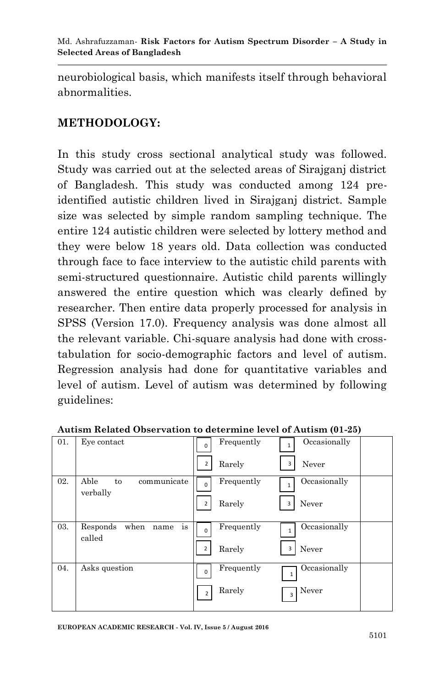neurobiological basis, which manifests itself through behavioral abnormalities.

## **METHODOLOGY:**

In this study cross sectional analytical study was followed. Study was carried out at the selected areas of Sirajganj district of Bangladesh. This study was conducted among 124 preidentified autistic children lived in Sirajganj district. Sample size was selected by simple random sampling technique. The entire 124 autistic children were selected by lottery method and they were below 18 years old. Data collection was conducted through face to face interview to the autistic child parents with semi-structured questionnaire. Autistic child parents willingly answered the entire question which was clearly defined by researcher. Then entire data properly processed for analysis in SPSS (Version 17.0). Frequency analysis was done almost all the relevant variable. Chi-square analysis had done with crosstabulation for socio-demographic factors and level of autism. Regression analysis had done for quantitative variables and level of autism. Level of autism was determined by following guidelines:

| 01. | Eye contact                              | Occasionally<br>Frequently<br>1<br>0                   |  |
|-----|------------------------------------------|--------------------------------------------------------|--|
|     |                                          | Never<br>$\overline{2}$<br>Rarely<br>3                 |  |
| 02. | Able<br>to<br>communicate<br>verbally    | Occasionally<br>Frequently<br>$\Omega$<br>1            |  |
|     |                                          | Rarely<br>Never<br>3<br>2                              |  |
| 03. | is<br>Responds<br>when<br>name<br>called | Occasionally<br>Frequently<br>$\mathbf{1}$<br>$\Omega$ |  |
|     |                                          | Never<br>Rarely<br>$\overline{2}$<br>3                 |  |
| 04. | Asks question                            | Occasionally<br>Frequently<br>$\Omega$<br>1            |  |
|     |                                          | Rarely<br>Never<br>2<br>$\overline{3}$                 |  |

**Autism Related Observation to determine level of Autism (01-25)**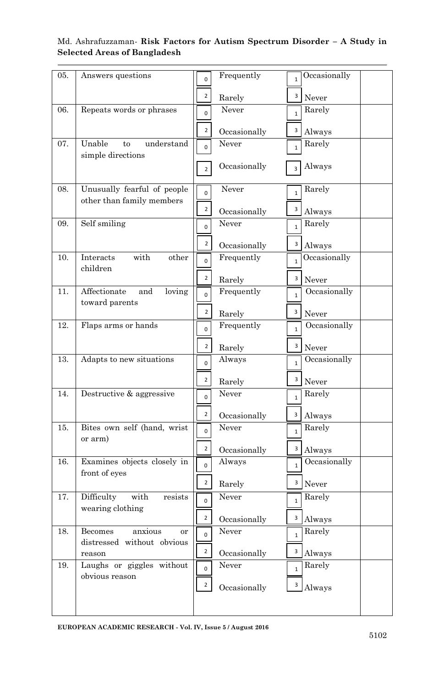| 05. | Answers questions                                        | 0              | Frequently   | $\mathbf{1}$               | Occasionally    |
|-----|----------------------------------------------------------|----------------|--------------|----------------------------|-----------------|
|     |                                                          | $\overline{2}$ | Rarely       | 3                          | Never           |
| 06. | Repeats words or phrases                                 | $\mathbf{0}$   | Never        | 1 <sup>1</sup>             | Rarely          |
|     |                                                          | $\overline{2}$ | Occasionally | 3 <sup>1</sup>             | Always          |
| 07. | Unable<br>understand<br>to<br>simple directions          | $\mathbf{0}$   | Never        | $\mathbf{1}$               | Rarely          |
|     |                                                          | $\overline{2}$ | Occasionally | $\overline{3}$             | Always          |
| 08. | Unusually fearful of people<br>other than family members | $\mathbf{0}$   | Never        | $\mathbf{1}$               | Rarely          |
|     |                                                          | $\overline{2}$ | Occasionally | 3                          | Always          |
| 09. | Self smiling                                             | $\overline{0}$ | Never        |                            | Rarely          |
|     |                                                          | $\overline{2}$ | Occasionally | $\overline{\mathbf{3}}$    | Always          |
| 10. | Interacts<br>with<br>other<br>children                   | $\mathbf{0}$   | Frequently   | $\mathbf{1}$               | Occasionally    |
|     |                                                          | $\overline{2}$ | Rarely       | 3                          | Never           |
| 11. | Affectionate<br>and<br>loving<br>toward parents          | $\mathbf{0}$   | Frequently   | $\mathbf{1}$               | Occasionally    |
|     |                                                          | $\overline{2}$ | Rarely       | 3                          | Never           |
| 12. | Flaps arms or hands                                      | 0              | Frequently   | $\mathbf{1}$               | Occasionally    |
|     |                                                          | $\overline{2}$ | Rarely       | 3                          | Never           |
| 13. | Adapts to new situations                                 | $\overline{0}$ | Always       | $\mathbf{1}$               | Occasionally    |
|     |                                                          | $\overline{2}$ | Rarely       | 3                          | Never           |
| 14. | Destructive & aggressive                                 | $\mathbf{0}$   | Never        | $\mathbf{1}$               | Rarely          |
|     |                                                          | $\overline{2}$ | Occasionally | 3                          | Always          |
| 15. | Bites own self (hand, wrist<br>or arm)                   | $\mathbf{0}$   | Never        | $\mathbf{1}$               | Rarely          |
|     |                                                          | $\overline{a}$ | Occasionally | 3                          | Always          |
| 16. | Examines objects closely in<br>front of eyes             | $\overline{0}$ | Always       | $\mathbf{1}$               | Occasionally    |
|     |                                                          | $\overline{2}$ | Rarely       | 3 <sup>1</sup>             | Never           |
| 17. | Difficulty<br>with<br>resists<br>wearing clothing        | $\mathbf{0}$   | Never        | 1                          | Rarely          |
|     |                                                          | $\overline{2}$ | Occasionally | $\overline{\phantom{a}}$ 3 | $\rm\bf Always$ |
| 18. | Becomes<br>anxious<br>or<br>distressed without obvious   | $\mathbf 0$    | Never        | $\mathbf{1}$               | Rarely          |
|     | reason                                                   | $\overline{2}$ | Occasionally | 3                          | Always          |
| 19. | Laughs or giggles without<br>obvious reason              | $\mathbf 0$    | Never        | $\mathbf{1}$               | Rarely          |
|     |                                                          | $\overline{2}$ | Occasionally | $\overline{\phantom{a}}$   | Always          |
|     |                                                          |                |              |                            |                 |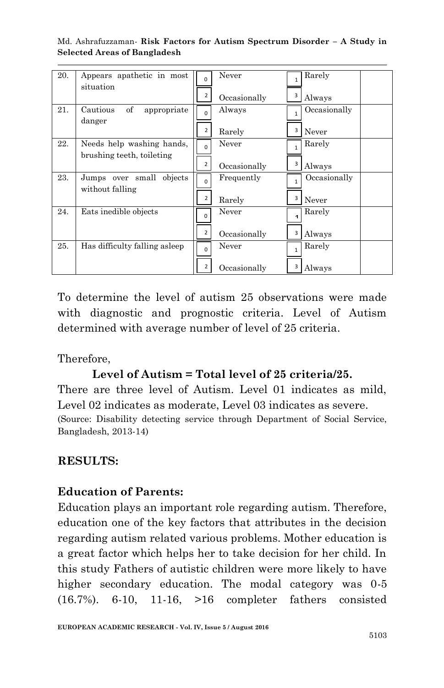| 20. | Appears apathetic in most<br>situation                 | 2                          | Never<br>Occasionally | 3      | Rarely<br>Always      |
|-----|--------------------------------------------------------|----------------------------|-----------------------|--------|-----------------------|
| 21. | of<br>Cautious<br>appropriate<br>danger                | $\Omega$<br>$\overline{2}$ | Always<br>Rarely      | 1<br>3 | Occasionally<br>Never |
| 22. | Needs help washing hands,<br>brushing teeth, toileting | $\Omega$<br>2              | Never<br>Occasionally | 1<br>3 | Rarely<br>Always      |
| 23. | Jumps over small objects<br>without falling            | 2                          | Frequently<br>Rarely  | 3      | Occasionally<br>Never |
| 24. | Eats inedible objects                                  | <sup>n</sup><br>2          | Never<br>Occasionally | 3      | Rarely<br>Always      |
| 25. | Has difficulty falling asleep                          | 2                          | Never<br>Occasionally | 1      | Rarely<br>Always      |

To determine the level of autism 25 observations were made with diagnostic and prognostic criteria. Level of Autism determined with average number of level of 25 criteria.

Therefore,

### **Level of Autism = Total level of 25 criteria/25.**

There are three level of Autism. Level 01 indicates as mild, Level 02 indicates as moderate, Level 03 indicates as severe. (Source: Disability detecting service through Department of Social Service, Bangladesh, 2013-14)

### **RESULTS:**

### **Education of Parents:**

Education plays an important role regarding autism. Therefore, education one of the key factors that attributes in the decision regarding autism related various problems. Mother education is a great factor which helps her to take decision for her child. In this study Fathers of autistic children were more likely to have higher secondary education. The modal category was  $0.5$ (16.7%). 6-10, 11-16, >16 completer fathers consisted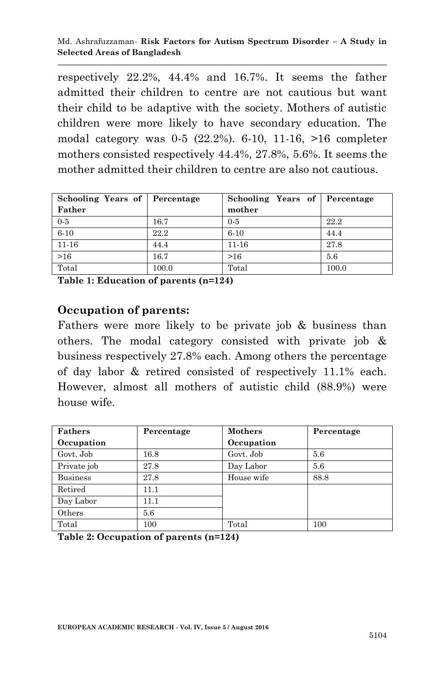respectively 22.2%, 44.4% and 16.7%. It seems the father admitted their children to centre are not cautious but want their child to be adaptive with the society. Mothers of autistic children were more likely to have secondary education. The modal category was 0-5 (22.2%). 6-10, 11-16, >16 completer mothers consisted respectively 44.4%, 27.8%, 5.6%. It seems the mother admitted their children to centre are also not cautious.

| Schooling Years of   Percentage |       | Schooling Years of Percentage |       |
|---------------------------------|-------|-------------------------------|-------|
| Father                          |       | mother                        |       |
| $0 - 5$                         | 16.7  | $0-5$                         | 22.2  |
| $6 - 10$                        | 22.2  | $6 - 10$                      | 44.4  |
| $11 - 16$                       | 44.4  | $11 - 16$                     | 27.8  |
| >16                             | 16.7  | >16                           | 5.6   |
| Total                           | 100.0 | Total                         | 100.0 |

**Table 1: Education of parents (n=124)**

### **Occupation of parents:**

Fathers were more likely to be private job & business than others. The modal category consisted with private job & business respectively 27.8% each. Among others the percentage of day labor & retired consisted of respectively 11.1% each. However, almost all mothers of autistic child (88.9%) were house wife.

| <b>Fathers</b>  | Percentage | <b>Mothers</b> | Percentage |
|-----------------|------------|----------------|------------|
| Occupation      |            | Occupation     |            |
| Govt. Job       | 16.8       | Govt. Job      | 5.6        |
| Private job     | 27.8       | Day Labor      | 5.6        |
| <b>Business</b> | 27.8       | House wife     | 88.8       |
| Retired         | 11.1       |                |            |
| Day Labor       | 11.1       |                |            |
| Others          | 5.6        |                |            |
| Total           | 100        | Total          | 100        |

**Table 2: Occupation of parents (n=124)**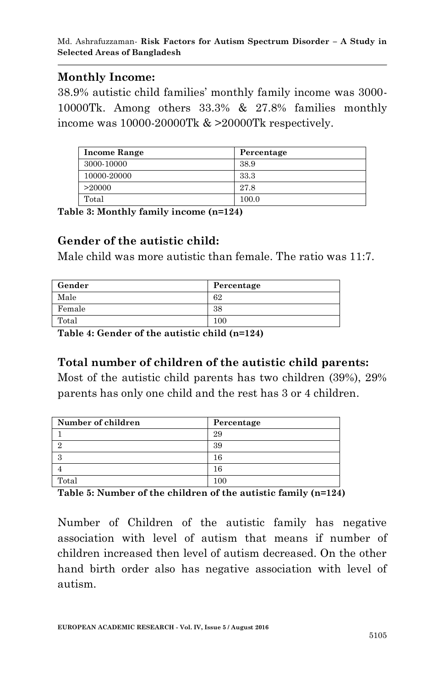### **Monthly Income:**

38.9% autistic child families' monthly family income was 3000- 10000Tk. Among others 33.3% & 27.8% families monthly income was 10000-20000Tk & >20000Tk respectively.

| Income Range | Percentage |
|--------------|------------|
| 3000-10000   | 38.9       |
| 10000-20000  | 33.3       |
| >20000       | 27.8       |
| Total        | 100.0      |

**Table 3: Monthly family income (n=124)**

## **Gender of the autistic child:**

Male child was more autistic than female. The ratio was 11:7.

| Gender | Percentage |
|--------|------------|
| Male   | 62         |
| Female | 38         |
| Total  | 100        |

**Table 4: Gender of the autistic child (n=124)**

## **Total number of children of the autistic child parents:**

Most of the autistic child parents has two children (39%), 29% parents has only one child and the rest has 3 or 4 children.

| Number of children | Percentage |
|--------------------|------------|
|                    | 29         |
|                    | 39         |
|                    | 16         |
|                    | 16         |
| Total              |            |

**Table 5: Number of the children of the autistic family (n=124)**

Number of Children of the autistic family has negative association with level of autism that means if number of children increased then level of autism decreased. On the other hand birth order also has negative association with level of autism.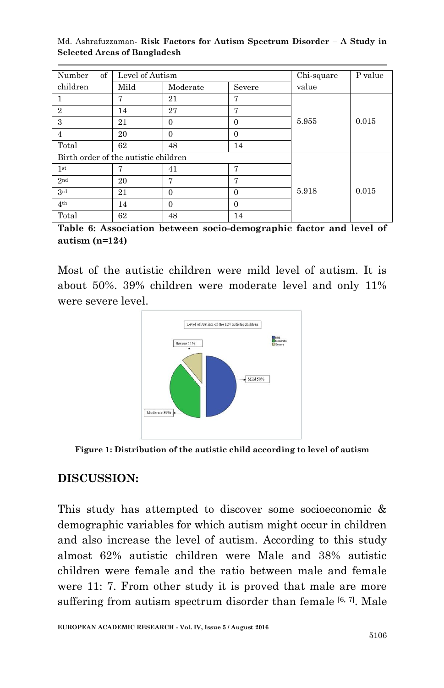| $\sigma$<br>Number                   | Level of Autism |          |          | Chi-square | P value |
|--------------------------------------|-----------------|----------|----------|------------|---------|
| children                             | Mild            | Moderate | Severe   | value      |         |
|                                      | 7               | 21       | 7        |            |         |
| $\overline{2}$                       | 14              | 27       | 7        |            |         |
| 3                                    | 21              | $\Omega$ | $\Omega$ | 5.955      | 0.015   |
| 4                                    | 20              | $\Omega$ | $\Omega$ |            |         |
| Total                                | 62              | 48       | 14       |            |         |
| Birth order of the autistic children |                 |          |          |            |         |
| 1 <sup>st</sup>                      |                 | 41       | 7        |            |         |
| 2 <sub>nd</sub>                      | 20              | 7        | 7        |            |         |
| 3rd                                  | 21              | $\Omega$ | $\Omega$ | 5.918      | 0.015   |
| 4 <sup>th</sup>                      | 14              | $\Omega$ | $\Omega$ |            |         |
| Total                                | 62              | 48       | 14       |            |         |

**Table 6: Association between socio-demographic factor and level of autism (n=124)**

Most of the autistic children were mild level of autism. It is about 50%. 39% children were moderate level and only 11% were severe level.



**Figure 1: Distribution of the autistic child according to level of autism**

## **DISCUSSION:**

This study has attempted to discover some socioeconomic & demographic variables for which autism might occur in children and also increase the level of autism. According to this study almost 62% autistic children were Male and 38% autistic children were female and the ratio between male and female were 11: 7. From other study it is proved that male are more suffering from autism spectrum disorder than female  $[6, 7]$ . Male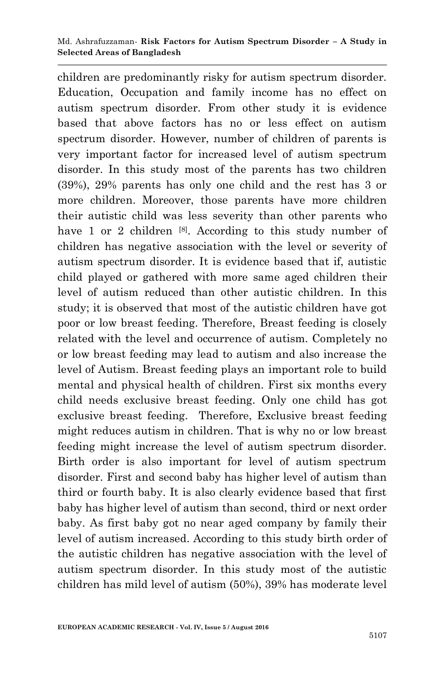children are predominantly risky for autism spectrum disorder. Education, Occupation and family income has no effect on autism spectrum disorder. From other study it is evidence based that above factors has no or less effect on autism spectrum disorder. However, number of children of parents is very important factor for increased level of autism spectrum disorder. In this study most of the parents has two children (39%), 29% parents has only one child and the rest has 3 or more children. Moreover, those parents have more children their autistic child was less severity than other parents who have 1 or 2 children  $[8]$ . According to this study number of children has negative association with the level or severity of autism spectrum disorder. It is evidence based that if, autistic child played or gathered with more same aged children their level of autism reduced than other autistic children. In this study; it is observed that most of the autistic children have got poor or low breast feeding. Therefore, Breast feeding is closely related with the level and occurrence of autism. Completely no or low breast feeding may lead to autism and also increase the level of Autism. Breast feeding plays an important role to build mental and physical health of children. First six months every child needs exclusive breast feeding. Only one child has got exclusive breast feeding. Therefore, Exclusive breast feeding might reduces autism in children. That is why no or low breast feeding might increase the level of autism spectrum disorder. Birth order is also important for level of autism spectrum disorder. First and second baby has higher level of autism than third or fourth baby. It is also clearly evidence based that first baby has higher level of autism than second, third or next order baby. As first baby got no near aged company by family their level of autism increased. According to this study birth order of the autistic children has negative association with the level of autism spectrum disorder. In this study most of the autistic children has mild level of autism (50%), 39% has moderate level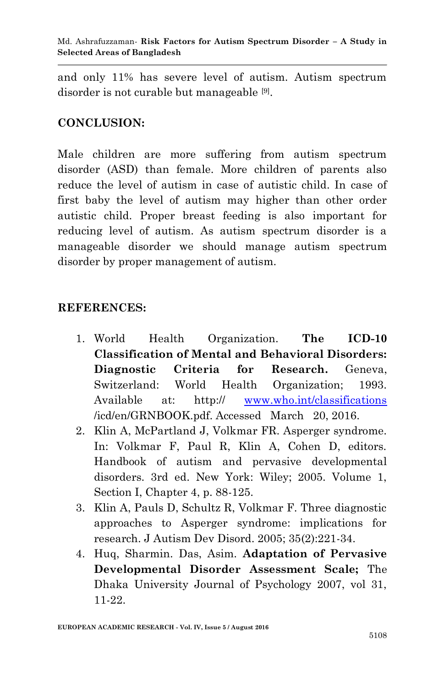and only 11% has severe level of autism. Autism spectrum disorder is not curable but manageable [9] .

## **CONCLUSION:**

Male children are more suffering from autism spectrum disorder (ASD) than female. More children of parents also reduce the level of autism in case of autistic child. In case of first baby the level of autism may higher than other order autistic child. Proper breast feeding is also important for reducing level of autism. As autism spectrum disorder is a manageable disorder we should manage autism spectrum disorder by proper management of autism.

### **REFERENCES:**

- 1. World Health Organization. **The ICD-10 Classification of Mental and Behavioral Disorders: Diagnostic Criteria for Research.** Geneva, Switzerland: World Health Organization; 1993. Available at: http:// [www.who.int/classifications](http://www.who.int/classifications) /icd/en/GRNBOOK.pdf. Accessed March 20, 2016.
- 2. Klin A, McPartland J, Volkmar FR. Asperger syndrome. In: Volkmar F, Paul R, Klin A, Cohen D, editors. Handbook of autism and pervasive developmental disorders. 3rd ed. New York: Wiley; 2005. Volume 1, Section I, Chapter 4, p. 88-125.
- 3. Klin A, Pauls D, Schultz R, Volkmar F. Three diagnostic approaches to Asperger syndrome: implications for research. J Autism Dev Disord. 2005; 35(2):221-34.
- 4. Huq, Sharmin. Das, Asim. **Adaptation of Pervasive Developmental Disorder Assessment Scale;** The Dhaka University Journal of Psychology 2007, vol 31, 11-22.